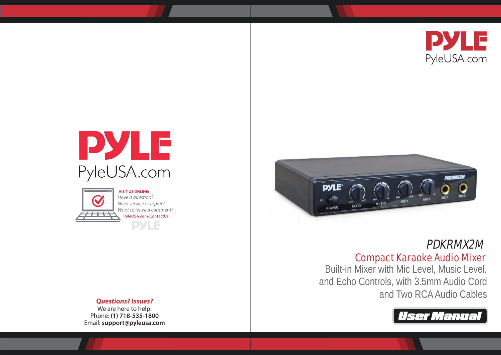





**VISIT US ONLINE:** Have a question? Need service or repair? Want to leave a comment? PyleUSA.com/ContactUs **PYLE** 



# PDKRMX2M

# Compact Karaoke Audio Mixer

Built-in Mixer with Mic Level, Music Level, and Echo Controls, with 3.5mm Audio Cord and Two RCA Audio Cables



## *Questions? Issues?*

We are here to help! Phone: **(1) 718-535-1800** Email: **support@pyleusa.com**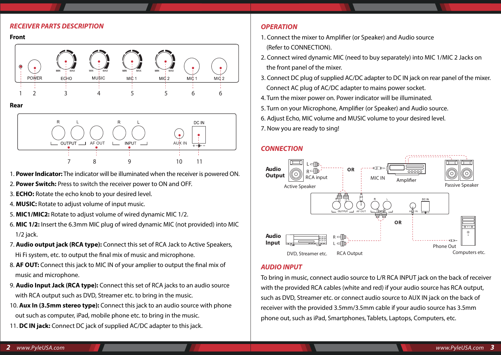#### *RECEIVER PARTS DESCRIPTION*

**Front**



#### **Rear**



- 1. **Power Indicator:** The indicator will be illuminated when the receiver is powered ON.
- 2. **Power Switch:** Press to switch the receiver power to ON and OFF.
- 3. **ECHO:** Rotate the echo knob to your desired level.
- 4. **MUSIC:** Rotate to adjust volume of input music.
- 5. **MIC1/MIC2:** Rotate to adjust volume of wired dynamic MIC 1/2.
- 6. **MIC 1/2:** Insert the 6.3mm MIC plug of wired dynamic MIC (not provided) into MIC 1/2 jack.
- 7. **Audio output jack (RCA type):** Connect this set of RCA Jack to Active Speakers, Hi Fi system, etc. to output the final mix of music and microphone.
- 8. **AF OUT:** Connect this jack to MIC IN of your amplier to output the final mix of music and microphone.
- 9. **Audio Input Jack (RCA type):** Connect this set of RCA jacks to an audio source with RCA output such as DVD, Streamer etc. to bring in the music.
- 10. **Aux In (3.5mm stereo type):** Connect this jack to an audio source with phone out such as computer, iPad, mobile phone etc. to bring in the music.
- 11. **DC IN jack:** Connect DC jack of supplied AC/DC adapter to this jack.

## *OPERATION*

- 1. Connect the mixer to Amplifier (or Speaker) and Audio source (Refer to CONNECTION).
- 2. Connect wired dynamic MIC (need to buy separately) into MIC 1/MIC 2 Jacks on the front panel of the mixer.
- 3. Connect DC plug of supplied AC/DC adapter to DC IN jack on rear panel of the mixer. Connect AC plug of AC/DC adapter to mains power socket.
- 4. Turn the mixer power on. Power indicator will be illuminated.
- 5. Turn on your Microphone, Amplifier (or Speaker) and Audio source.
- 6. Adjust Echo, MIC volume and MUSIC volume to your desired level.
- 7. Now you are ready to sing!

#### *CONNECTION*



#### *AUDIO INPUT*

To bring in music, connect audio source to L/R RCA INPUT jack on the back of receiver with the provided RCA cables (white and red) if your audio source has RCA output, such as DVD, Streamer etc. or connect audio source to AUX IN jack on the back of receiver with the provided 3.5mm/3.5mm cable if your audio source has 3.5mm phone out, such as iPad, Smartphones, Tablets, Laptops, Computers, etc.